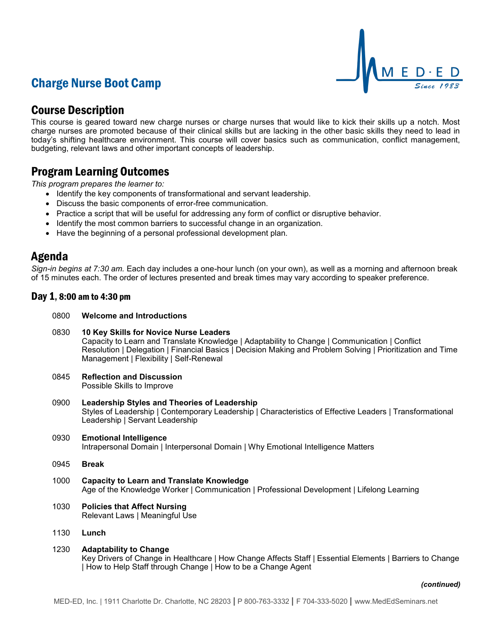# Charge Nurse Boot Camp



## Course Description

This course is geared toward new charge nurses or charge nurses that would like to kick their skills up a notch. Most charge nurses are promoted because of their clinical skills but are lacking in the other basic skills they need to lead in today's shifting healthcare environment. This course will cover basics such as communication, conflict management, budgeting, relevant laws and other important concepts of leadership.

## Program Learning Outcomes

*This program prepares the learner to:*

- Identify the key components of transformational and servant leadership.
- Discuss the basic components of error-free communication.
- Practice a script that will be useful for addressing any form of conflict or disruptive behavior.
- Identify the most common barriers to successful change in an organization.
- Have the beginning of a personal professional development plan.

## Agenda

*Sign-in begins at 7:30 am.* Each day includes a one-hour lunch (on your own), as well as a morning and afternoon break of 15 minutes each. The order of lectures presented and break times may vary according to speaker preference.

### Day 1, 8:00 am to 4:30 pm

- 0800 **Welcome and Introductions**
- 0830 **10 Key Skills for Novice Nurse Leaders** Capacity to Learn and Translate Knowledge | Adaptability to Change | Communication | Conflict Resolution | Delegation | Financial Basics | Decision Making and Problem Solving | Prioritization and Time Management | Flexibility | Self-Renewal
- 0845 **Reflection and Discussion** Possible Skills to Improve
- 0900 **Leadership Styles and Theories of Leadership** Styles of Leadership | Contemporary Leadership | Characteristics of Effective Leaders | Transformational Leadership | Servant Leadership
- 0930 **Emotional Intelligence** Intrapersonal Domain | Interpersonal Domain | Why Emotional Intelligence Matters
- 0945 **Break**
- 1000 **Capacity to Learn and Translate Knowledge** Age of the Knowledge Worker | Communication | Professional Development | Lifelong Learning
- 1030 **Policies that Affect Nursing** Relevant Laws | Meaningful Use
- 1130 **Lunch**
- 1230 **Adaptability to Change** Key Drivers of Change in Healthcare | How Change Affects Staff | Essential Elements | Barriers to Change | How to Help Staff through Change | How to be a Change Agent

#### *(continued)*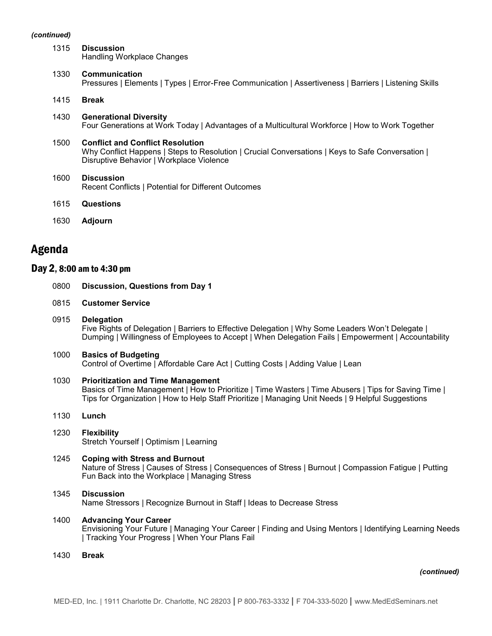#### *(continued)*

| 1315 | <b>Discussion</b><br>Handling Workplace Changes                                                                                                                                         |
|------|-----------------------------------------------------------------------------------------------------------------------------------------------------------------------------------------|
| 1330 | Communication<br>Pressures   Elements   Types   Error-Free Communication   Assertiveness   Barriers   Listening Skills                                                                  |
| 1415 | <b>Break</b>                                                                                                                                                                            |
| 1430 | <b>Generational Diversity</b><br>Four Generations at Work Today   Advantages of a Multicultural Workforce   How to Work Together                                                        |
| 1500 | <b>Conflict and Conflict Resolution</b><br>Why Conflict Happens   Steps to Resolution   Crucial Conversations   Keys to Safe Conversation  <br>Disruptive Behavior   Workplace Violence |
| 1600 | <b>Discussion</b><br>Recent Conflicts   Potential for Different Outcomes                                                                                                                |
| 1615 | Questions                                                                                                                                                                               |

1630 **Adjourn**

## Agenda

### Day 2, 8:00 am to 4:30 pm

| 0800 | <b>Discussion, Questions from Day 1</b> |  |  |  |  |
|------|-----------------------------------------|--|--|--|--|
|------|-----------------------------------------|--|--|--|--|

- 0815 **Customer Service**
- 0915 **Delegation** Five Rights of Delegation | Barriers to Effective Delegation | Why Some Leaders Won't Delegate | Dumping | Willingness of Employees to Accept | When Delegation Fails | Empowerment | Accountability
- 1000 **Basics of Budgeting** Control of Overtime | Affordable Care Act | Cutting Costs | Adding Value | Lean
- 1030 **Prioritization and Time Management** Basics of Time Management | How to Prioritize | Time Wasters | Time Abusers | Tips for Saving Time | Tips for Organization | How to Help Staff Prioritize | Managing Unit Needs | 9 Helpful Suggestions
- 1130 **Lunch**
- 1230 **Flexibility** Stretch Yourself | Optimism | Learning
- 1245 **Coping with Stress and Burnout** Nature of Stress | Causes of Stress | Consequences of Stress | Burnout | Compassion Fatigue | Putting Fun Back into the Workplace | Managing Stress

### 1345 **Discussion** Name Stressors | Recognize Burnout in Staff | Ideas to Decrease Stress

### 1400 **Advancing Your Career**

Envisioning Your Future | Managing Your Career | Finding and Using Mentors | Identifying Learning Needs | Tracking Your Progress | When Your Plans Fail

1430 **Break**

#### *(continued)*